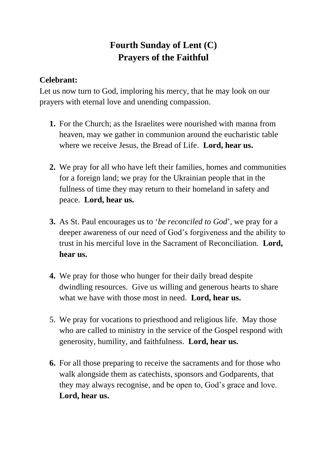## **Fourth Sunday of Lent (C) Prayers of the Faithful**

## **Celebrant:**

Let us now turn to God, imploring his mercy, that he may look on our prayers with eternal love and unending compassion.

- **1.** For the Church; as the Israelites were nourished with manna from heaven, may we gather in communion around the eucharistic table where we receive Jesus, the Bread of Life. **Lord, hear us.**
- **2.** We pray for all who have left their families, homes and communities for a foreign land; we pray for the Ukrainian people that in the fullness of time they may return to their homeland in safety and peace. **Lord, hear us.**
- **3.** As St. Paul encourages us to '*be reconciled to God*', we pray for a deeper awareness of our need of God's forgiveness and the ability to trust in his merciful love in the Sacrament of Reconciliation. **Lord, hear us.**
- **4.** We pray for those who hunger for their daily bread despite dwindling resources. Give us willing and generous hearts to share what we have with those most in need. **Lord, hear us.**
- 5. We pray for vocations to priesthood and religious life. May those who are called to ministry in the service of the Gospel respond with generosity, humility, and faithfulness. **Lord, hear us.**
- **6.** For all those preparing to receive the sacraments and for those who walk alongside them as catechists, sponsors and Godparents, that they may always recognise, and be open to, God's grace and love. **Lord, hear us.**